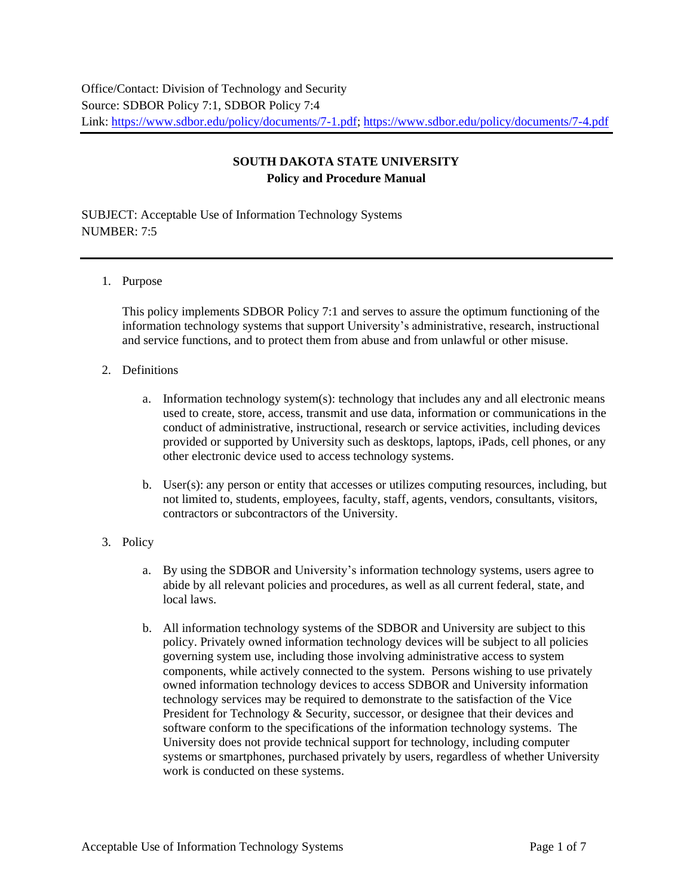## **SOUTH DAKOTA STATE UNIVERSITY Policy and Procedure Manual**

SUBJECT: Acceptable Use of Information Technology Systems  $NIIMBER \cdot 7.5$ 

## 1. Purpose

This policy implements SDBOR Policy 7:1 and serves to assure the optimum functioning of the information technology systems that support University's administrative, research, instructional and service functions, and to protect them from abuse and from unlawful or other misuse.

## 2. Definitions

- a. Information technology system(s): technology that includes any and all electronic means used to create, store, access, transmit and use data, information or communications in the conduct of administrative, instructional, research or service activities, including devices provided or supported by University such as desktops, laptops, iPads, cell phones, or any other electronic device used to access technology systems.
- b. User(s): any person or entity that accesses or utilizes computing resources, including, but not limited to, students, employees, faculty, staff, agents, vendors, consultants, visitors, contractors or subcontractors of the University.

## 3. Policy

- a. By using the SDBOR and University's information technology systems, users agree to abide by all relevant policies and procedures, as well as all current federal, state, and local laws.
- b. All information technology systems of the SDBOR and University are subject to this policy. Privately owned information technology devices will be subject to all policies governing system use, including those involving administrative access to system components, while actively connected to the system. Persons wishing to use privately owned information technology devices to access SDBOR and University information technology services may be required to demonstrate to the satisfaction of the Vice President for Technology & Security, successor, or designee that their devices and software conform to the specifications of the information technology systems. The University does not provide technical support for technology, including computer systems or smartphones, purchased privately by users, regardless of whether University work is conducted on these systems.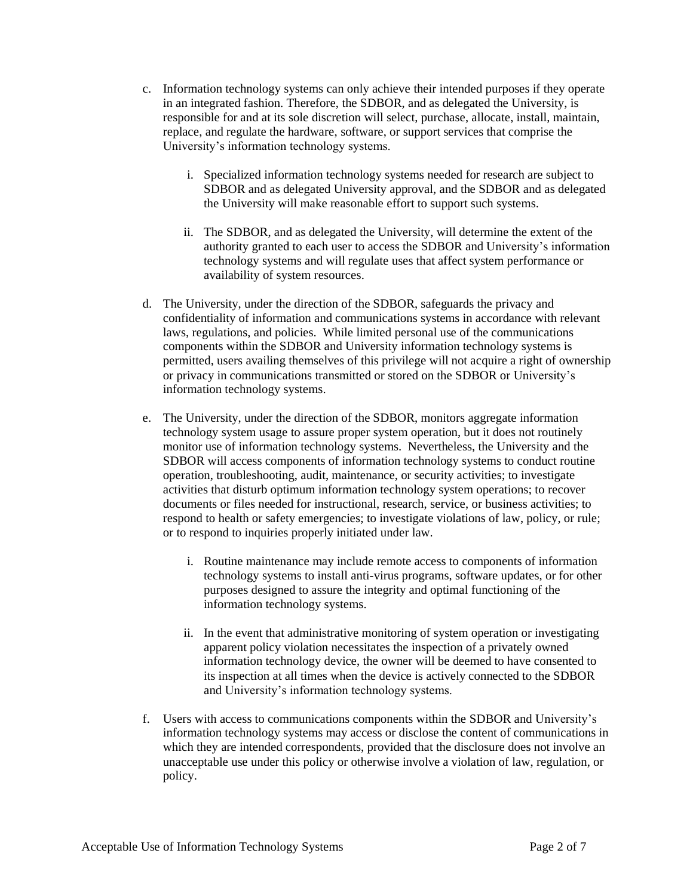- c. Information technology systems can only achieve their intended purposes if they operate in an integrated fashion. Therefore, the SDBOR, and as delegated the University, is responsible for and at its sole discretion will select, purchase, allocate, install, maintain, replace, and regulate the hardware, software, or support services that comprise the University's information technology systems.
	- i. Specialized information technology systems needed for research are subject to SDBOR and as delegated University approval, and the SDBOR and as delegated the University will make reasonable effort to support such systems.
	- ii. The SDBOR, and as delegated the University, will determine the extent of the authority granted to each user to access the SDBOR and University's information technology systems and will regulate uses that affect system performance or availability of system resources.
- d. The University, under the direction of the SDBOR, safeguards the privacy and confidentiality of information and communications systems in accordance with relevant laws, regulations, and policies. While limited personal use of the communications components within the SDBOR and University information technology systems is permitted, users availing themselves of this privilege will not acquire a right of ownership or privacy in communications transmitted or stored on the SDBOR or University's information technology systems.
- e. The University, under the direction of the SDBOR, monitors aggregate information technology system usage to assure proper system operation, but it does not routinely monitor use of information technology systems. Nevertheless, the University and the SDBOR will access components of information technology systems to conduct routine operation, troubleshooting, audit, maintenance, or security activities; to investigate activities that disturb optimum information technology system operations; to recover documents or files needed for instructional, research, service, or business activities; to respond to health or safety emergencies; to investigate violations of law, policy, or rule; or to respond to inquiries properly initiated under law.
	- i. Routine maintenance may include remote access to components of information technology systems to install anti-virus programs, software updates, or for other purposes designed to assure the integrity and optimal functioning of the information technology systems.
	- ii. In the event that administrative monitoring of system operation or investigating apparent policy violation necessitates the inspection of a privately owned information technology device, the owner will be deemed to have consented to its inspection at all times when the device is actively connected to the SDBOR and University's information technology systems.
- f. Users with access to communications components within the SDBOR and University's information technology systems may access or disclose the content of communications in which they are intended correspondents, provided that the disclosure does not involve an unacceptable use under this policy or otherwise involve a violation of law, regulation, or policy.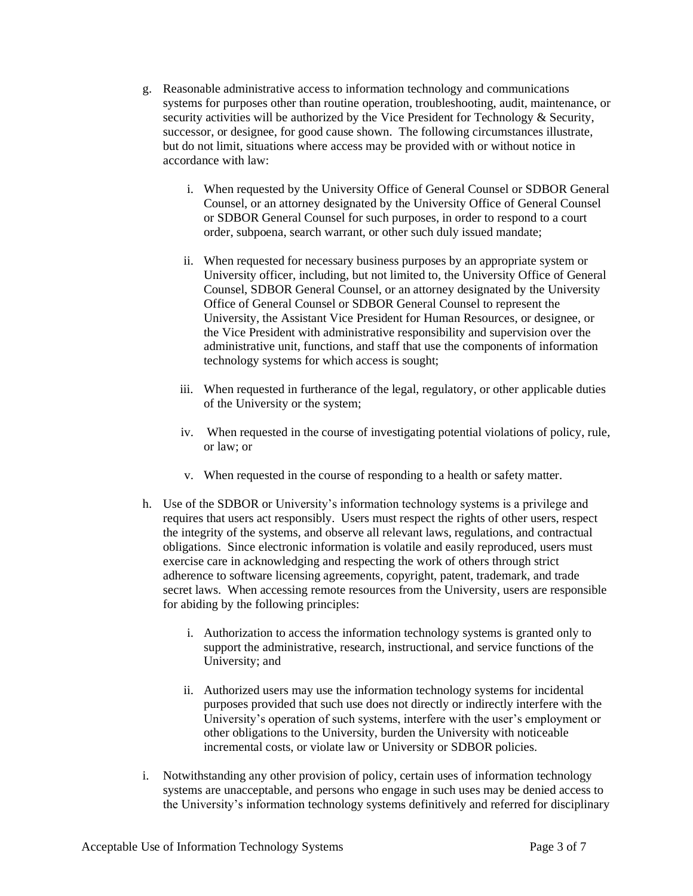- g. Reasonable administrative access to information technology and communications systems for purposes other than routine operation, troubleshooting, audit, maintenance, or security activities will be authorized by the Vice President for Technology  $\&$  Security, successor, or designee, for good cause shown. The following circumstances illustrate, but do not limit, situations where access may be provided with or without notice in accordance with law:
	- i. When requested by the University Office of General Counsel or SDBOR General Counsel, or an attorney designated by the University Office of General Counsel or SDBOR General Counsel for such purposes, in order to respond to a court order, subpoena, search warrant, or other such duly issued mandate;
	- ii. When requested for necessary business purposes by an appropriate system or University officer, including, but not limited to, the University Office of General Counsel, SDBOR General Counsel, or an attorney designated by the University Office of General Counsel or SDBOR General Counsel to represent the University, the Assistant Vice President for Human Resources, or designee, or the Vice President with administrative responsibility and supervision over the administrative unit, functions, and staff that use the components of information technology systems for which access is sought;
	- iii. When requested in furtherance of the legal, regulatory, or other applicable duties of the University or the system;
	- iv. When requested in the course of investigating potential violations of policy, rule, or law; or
	- v. When requested in the course of responding to a health or safety matter.
- h. Use of the SDBOR or University's information technology systems is a privilege and requires that users act responsibly. Users must respect the rights of other users, respect the integrity of the systems, and observe all relevant laws, regulations, and contractual obligations. Since electronic information is volatile and easily reproduced, users must exercise care in acknowledging and respecting the work of others through strict adherence to software licensing agreements, copyright, patent, trademark, and trade secret laws. When accessing remote resources from the University, users are responsible for abiding by the following principles:
	- i. Authorization to access the information technology systems is granted only to support the administrative, research, instructional, and service functions of the University; and
	- ii. Authorized users may use the information technology systems for incidental purposes provided that such use does not directly or indirectly interfere with the University's operation of such systems, interfere with the user's employment or other obligations to the University, burden the University with noticeable incremental costs, or violate law or University or SDBOR policies.
- i. Notwithstanding any other provision of policy, certain uses of information technology systems are unacceptable, and persons who engage in such uses may be denied access to the University's information technology systems definitively and referred for disciplinary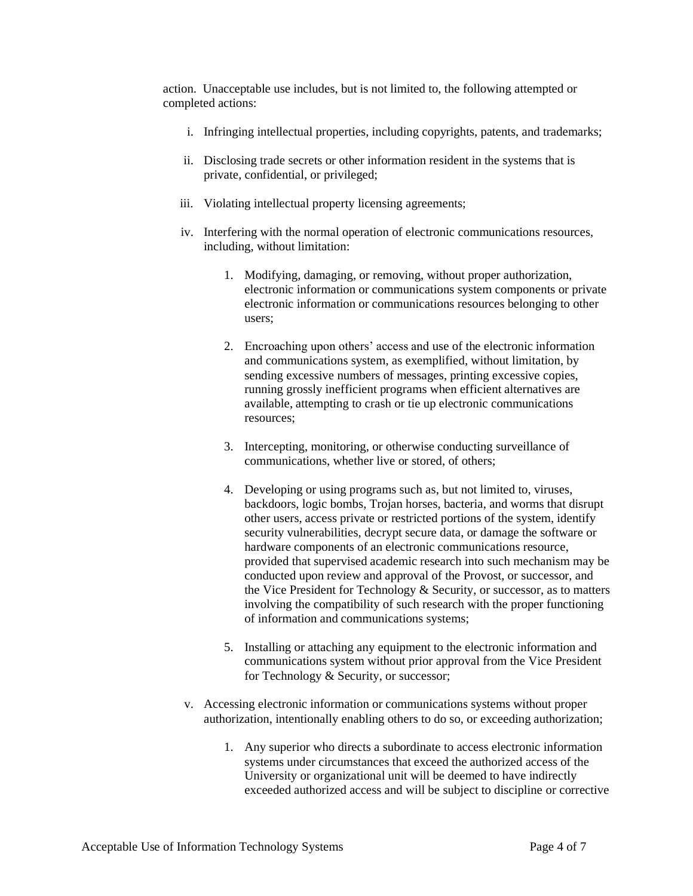action. Unacceptable use includes, but is not limited to, the following attempted or completed actions:

- i. Infringing intellectual properties, including copyrights, patents, and trademarks;
- ii. Disclosing trade secrets or other information resident in the systems that is private, confidential, or privileged;
- iii. Violating intellectual property licensing agreements;
- iv. Interfering with the normal operation of electronic communications resources, including, without limitation:
	- 1. Modifying, damaging, or removing, without proper authorization, electronic information or communications system components or private electronic information or communications resources belonging to other users;
	- 2. Encroaching upon others' access and use of the electronic information and communications system, as exemplified, without limitation, by sending excessive numbers of messages, printing excessive copies, running grossly inefficient programs when efficient alternatives are available, attempting to crash or tie up electronic communications resources;
	- 3. Intercepting, monitoring, or otherwise conducting surveillance of communications, whether live or stored, of others;
	- 4. Developing or using programs such as, but not limited to, viruses, backdoors, logic bombs, Trojan horses, bacteria, and worms that disrupt other users, access private or restricted portions of the system, identify security vulnerabilities, decrypt secure data, or damage the software or hardware components of an electronic communications resource, provided that supervised academic research into such mechanism may be conducted upon review and approval of the Provost, or successor, and the Vice President for Technology & Security, or successor, as to matters involving the compatibility of such research with the proper functioning of information and communications systems;
	- 5. Installing or attaching any equipment to the electronic information and communications system without prior approval from the Vice President for Technology & Security, or successor;
- v. Accessing electronic information or communications systems without proper authorization, intentionally enabling others to do so, or exceeding authorization;
	- 1. Any superior who directs a subordinate to access electronic information systems under circumstances that exceed the authorized access of the University or organizational unit will be deemed to have indirectly exceeded authorized access and will be subject to discipline or corrective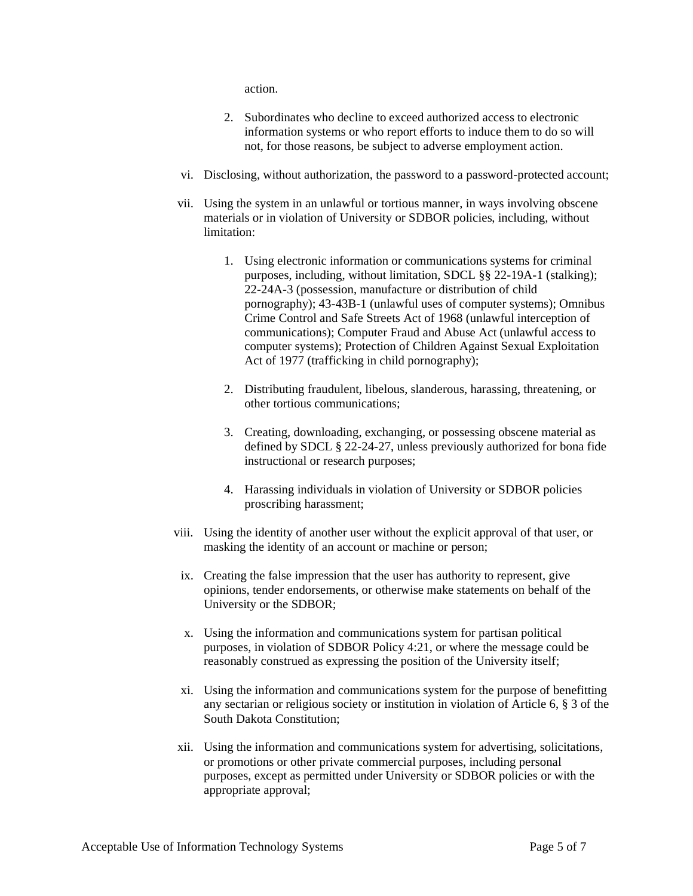action.

- 2. Subordinates who decline to exceed authorized access to electronic information systems or who report efforts to induce them to do so will not, for those reasons, be subject to adverse employment action.
- vi. Disclosing, without authorization, the password to a password-protected account;
- vii. Using the system in an unlawful or tortious manner, in ways involving obscene materials or in violation of University or SDBOR policies, including, without limitation:
	- 1. Using electronic information or communications systems for criminal purposes, including, without limitation, SDCL §§ 22-19A-1 (stalking); 22-24A-3 (possession, manufacture or distribution of child pornography); 43-43B-1 (unlawful uses of computer systems); Omnibus Crime Control and Safe Streets Act of 1968 (unlawful interception of communications); Computer Fraud and Abuse Act (unlawful access to computer systems); Protection of Children Against Sexual Exploitation Act of 1977 (trafficking in child pornography);
	- 2. Distributing fraudulent, libelous, slanderous, harassing, threatening, or other tortious communications;
	- 3. Creating, downloading, exchanging, or possessing obscene material as defined by SDCL § 22-24-27, unless previously authorized for bona fide instructional or research purposes;
	- 4. Harassing individuals in violation of University or SDBOR policies proscribing harassment;
- viii. Using the identity of another user without the explicit approval of that user, or masking the identity of an account or machine or person;
- ix. Creating the false impression that the user has authority to represent, give opinions, tender endorsements, or otherwise make statements on behalf of the University or the SDBOR;
- x. Using the information and communications system for partisan political purposes, in violation of SDBOR Policy 4:21, or where the message could be reasonably construed as expressing the position of the University itself;
- xi. Using the information and communications system for the purpose of benefitting any sectarian or religious society or institution in violation of Article 6, § 3 of the South Dakota Constitution;
- xii. Using the information and communications system for advertising, solicitations, or promotions or other private commercial purposes, including personal purposes, except as permitted under University or SDBOR policies or with the appropriate approval;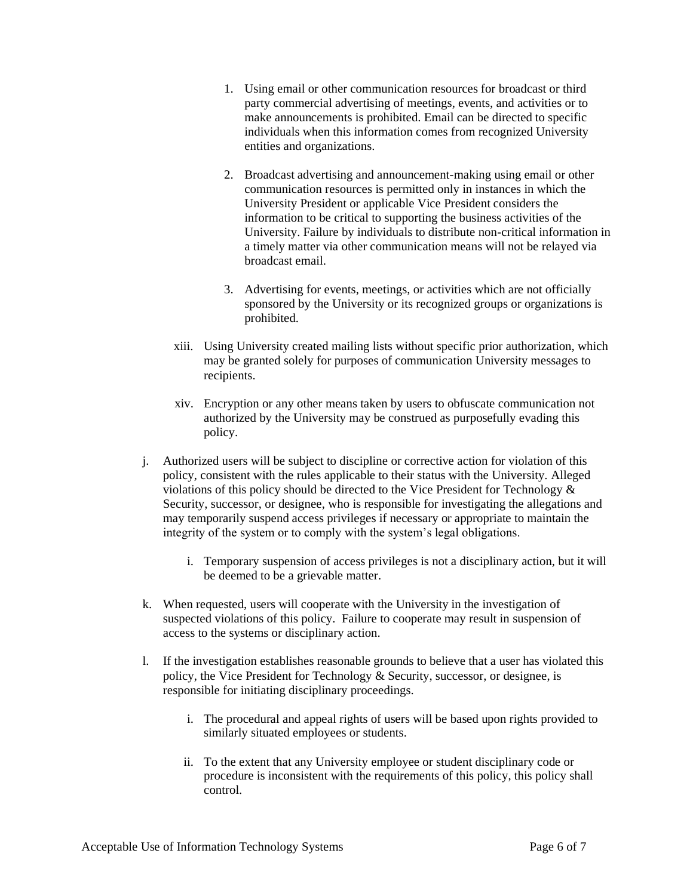- 1. Using email or other communication resources for broadcast or third party commercial advertising of meetings, events, and activities or to make announcements is prohibited. Email can be directed to specific individuals when this information comes from recognized University entities and organizations.
- 2. Broadcast advertising and announcement-making using email or other communication resources is permitted only in instances in which the University President or applicable Vice President considers the information to be critical to supporting the business activities of the University. Failure by individuals to distribute non-critical information in a timely matter via other communication means will not be relayed via broadcast email.
- 3. Advertising for events, meetings, or activities which are not officially sponsored by the University or its recognized groups or organizations is prohibited.
- xiii. Using University created mailing lists without specific prior authorization, which may be granted solely for purposes of communication University messages to recipients.
- xiv. Encryption or any other means taken by users to obfuscate communication not authorized by the University may be construed as purposefully evading this policy.
- j. Authorized users will be subject to discipline or corrective action for violation of this policy, consistent with the rules applicable to their status with the University. Alleged violations of this policy should be directed to the Vice President for Technology & Security, successor, or designee, who is responsible for investigating the allegations and may temporarily suspend access privileges if necessary or appropriate to maintain the integrity of the system or to comply with the system's legal obligations.
	- i. Temporary suspension of access privileges is not a disciplinary action, but it will be deemed to be a grievable matter.
- k. When requested, users will cooperate with the University in the investigation of suspected violations of this policy. Failure to cooperate may result in suspension of access to the systems or disciplinary action.
- l. If the investigation establishes reasonable grounds to believe that a user has violated this policy, the Vice President for Technology & Security, successor, or designee, is responsible for initiating disciplinary proceedings.
	- i. The procedural and appeal rights of users will be based upon rights provided to similarly situated employees or students.
	- ii. To the extent that any University employee or student disciplinary code or procedure is inconsistent with the requirements of this policy, this policy shall control.